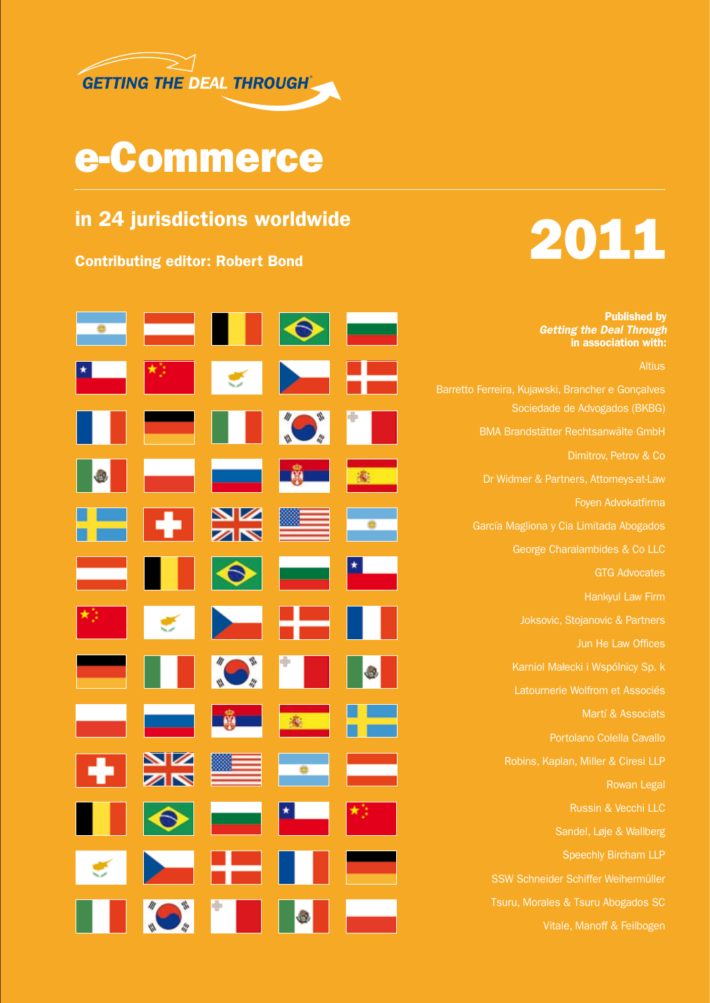

## e-Commerce

### in 24 jurisdictions worldwide



 $\bullet$ **Contract Contract** "O"  $\frac{\Delta Z}{\Delta N}$ 

Published by *Getting the Deal Through* in association with:

Altius

Sociedade de Advogados (BKBG) BMA Brandstätter Rechtsanwälte GmbH Dimitrov, Petrov & Co Dr Widmer & Partners, Attorneys-at-Law Foyen Advokatfirma García Magliona y Cia Limitada Abogados George Charalambides & Co LLC GTG Advocates Hankyul Law Firm Joksovic, Stojanovic & Partners Latournerie Wolfrom et Associés Martí & Associats Portolano Colella Cavallo Rowan Legal Russin & Vecchi LLC Sandel, Løje & Wallberg Speechly Bircham LLP Tsuru, Morales & Tsuru Abogados SC Vitale, Manoff & Feilbogen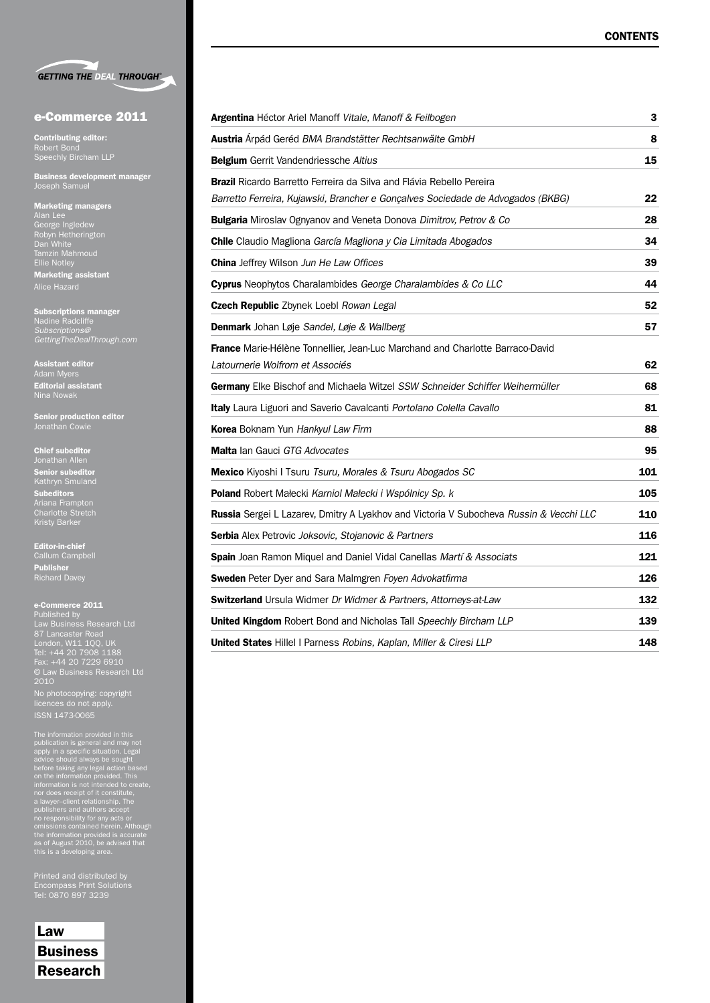

#### e-Commerce 2011

Contributing editor: Robert Bond Speechly Bircham LLP

Business development manager Joseph Samuel

#### Marketing managers George Ingledew Robyn Hetherington Tamzin Mahmoud Ellie Notley Marketing assistant Alice Hazard

Subscriptions manager *Subscriptions@ GettingTheDealThrough.com*

**Assistant editor**<br>Adam Myers Editorial assistant Nina Nowak

Senior production editor

Chief subeditor Jonathan Allen Senior subeditor Subeditors Charlotte Stretch Kristy Barker

Editor-in-chief Callum Campbell Publisher Richard Davey

#### e-Commerce 2011 Published by

Law Business Research Ltd London, W11 1QQ, UK Tel: +44 20 7908 1188 Fax: +44 20 7229 6910 © Law Business Research Ltd 2010 No photocopying: copyright

licences do not apply. ISSN 1473-0065

The information provided in this<br>publication is general and may not<br>paply in a specific situation. Legal<br>advice should always be sought<br>before taking any legal action based<br>on the information provided. This<br>information is

Printed and distributed by Tel: 0870 897 3239

Law Business Research

| Argentina Héctor Ariel Manoff Vitale, Manoff & Feilbogen                               | 3   |
|----------------------------------------------------------------------------------------|-----|
| Austria Árpád Geréd BMA Brandstätter Rechtsanwälte GmbH                                | 8   |
| <b>Belgium</b> Gerrit Vandendriessche Altius                                           | 15  |
| <b>Brazil</b> Ricardo Barretto Ferreira da Silva and Flávia Rebello Pereira            |     |
| Barretto Ferreira, Kujawski, Brancher e Gonçalves Sociedade de Advogados (BKBG)        | 22  |
| Bulgaria Miroslav Ognyanov and Veneta Donova Dimitrov, Petrov & Co                     | 28  |
| Chile Claudio Magliona García Magliona y Cia Limitada Abogados                         | 34  |
| China Jeffrey Wilson Jun He Law Offices                                                | 39  |
| Cyprus Neophytos Charalambides George Charalambides & Co LLC                           | 44  |
| Czech Republic Zbynek Loebl Rowan Legal                                                | 52  |
| Denmark Johan Løje Sandel, Løje & Wallberg                                             | 57  |
| France Marie-Hélène Tonnellier, Jean-Luc Marchand and Charlotte Barraco-David          |     |
| Latournerie Wolfrom et Associés                                                        | 62  |
| Germany Elke Bischof and Michaela Witzel SSW Schneider Schiffer Weihermüller           | 68  |
| Italy Laura Liguori and Saverio Cavalcanti Portolano Colella Cavallo                   | 81  |
| Korea Boknam Yun Hankyul Law Firm                                                      | 88  |
| Malta lan Gauci GTG Advocates                                                          | 95  |
| Mexico Kiyoshi I Tsuru Tsuru, Morales & Tsuru Abogados SC                              | 101 |
| Poland Robert Małecki Karniol Małecki i Wspólnicy Sp. k                                | 105 |
| Russia Sergei L Lazarev, Dmitry A Lyakhov and Victoria V Subocheva Russin & Vecchi LLC | 110 |
| Serbia Alex Petrovic Joksovic, Stojanovic & Partners                                   | 116 |
| Spain Joan Ramon Miquel and Daniel Vidal Canellas Martí & Associats                    | 121 |
| Sweden Peter Dyer and Sara Malmgren Foyen Advokatfirma                                 | 126 |
| <b>Switzerland</b> Ursula Widmer Dr Widmer & Partners, Attorneys-at-Law                | 132 |
| United Kingdom Robert Bond and Nicholas Tall Speechly Bircham LLP                      | 139 |
| <b>United States Hillel I Parness Robins, Kaplan, Miller &amp; Ciresi LLP</b>          | 148 |
|                                                                                        |     |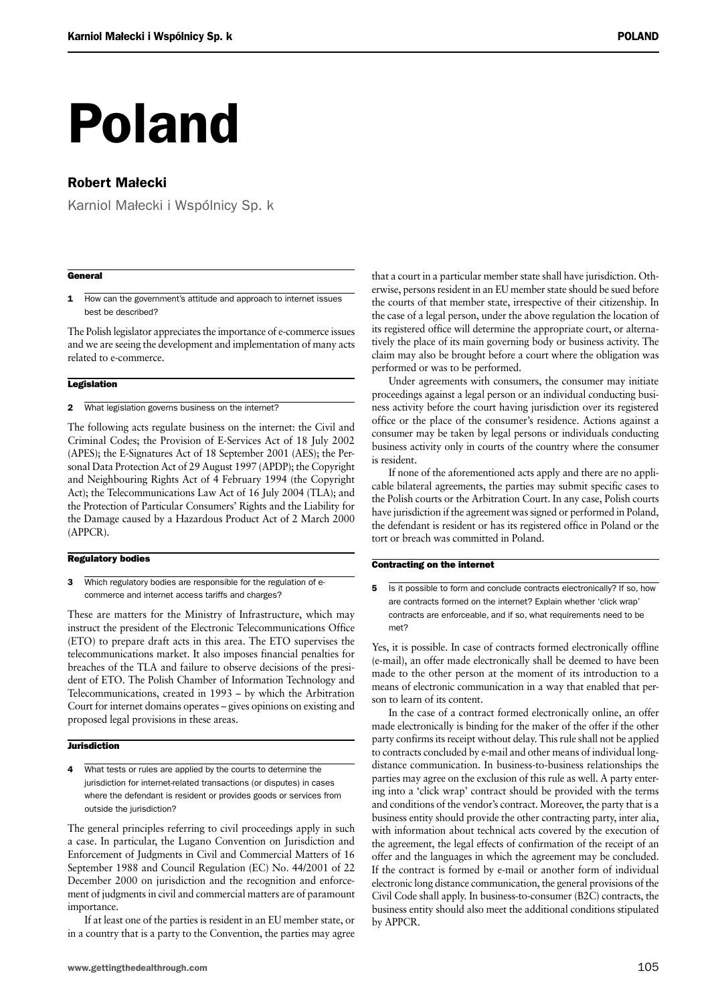# Poland

#### Robert Małecki

Karniol Małecki i Wspólnicy Sp. k

#### **General**

1 How can the government's attitude and approach to internet issues best be described?

The Polish legislator appreciates the importance of e-commerce issues and we are seeing the development and implementation of many acts related to e-commerce.

#### **Legislation**

2 What legislation governs business on the internet?

The following acts regulate business on the internet: the Civil and Criminal Codes; the Provision of E-Services Act of 18 July 2002 (APES); the E-Signatures Act of 18 September 2001 (AES); the Personal Data Protection Act of 29 August 1997 (APDP); the Copyright and Neighbouring Rights Act of 4 February 1994 (the Copyright Act); the Telecommunications Law Act of 16 July 2004 (TLA); and the Protection of Particular Consumers' Rights and the Liability for the Damage caused by a Hazardous Product Act of 2 March 2000 (APPCR).

#### Regulatory bodies

3 Which regulatory bodies are responsible for the regulation of ecommerce and internet access tariffs and charges?

These are matters for the Ministry of Infrastructure, which may instruct the president of the Electronic Telecommunications Office (ETO) to prepare draft acts in this area. The ETO supervises the telecommunications market. It also imposes financial penalties for breaches of the TLA and failure to observe decisions of the president of ETO. The Polish Chamber of Information Technology and Telecommunications, created in 1993 – by which the Arbitration Court for internet domains operates – gives opinions on existing and proposed legal provisions in these areas.

#### **Jurisdiction**

4 What tests or rules are applied by the courts to determine the jurisdiction for internet-related transactions (or disputes) in cases where the defendant is resident or provides goods or services from outside the jurisdiction?

The general principles referring to civil proceedings apply in such a case. In particular, the Lugano Convention on Jurisdiction and Enforcement of Judgments in Civil and Commercial Matters of 16 September 1988 and Council Regulation (EC) No. 44/2001 of 22 December 2000 on jurisdiction and the recognition and enforcement of judgments in civil and commercial matters are of paramount importance.

If at least one of the parties is resident in an EU member state, or in a country that is a party to the Convention, the parties may agree that a court in a particular member state shall have jurisdiction. Otherwise, persons resident in an EU member state should be sued before the courts of that member state, irrespective of their citizenship. In the case of a legal person, under the above regulation the location of its registered office will determine the appropriate court, or alternatively the place of its main governing body or business activity. The claim may also be brought before a court where the obligation was performed or was to be performed.

Under agreements with consumers, the consumer may initiate proceedings against a legal person or an individual conducting business activity before the court having jurisdiction over its registered office or the place of the consumer's residence. Actions against a consumer may be taken by legal persons or individuals conducting business activity only in courts of the country where the consumer is resident.

If none of the aforementioned acts apply and there are no applicable bilateral agreements, the parties may submit specific cases to the Polish courts or the Arbitration Court. In any case, Polish courts have jurisdiction if the agreement was signed or performed in Poland, the defendant is resident or has its registered office in Poland or the tort or breach was committed in Poland.

#### Contracting on the internet

5 Is it possible to form and conclude contracts electronically? If so, how are contracts formed on the internet? Explain whether 'click wrap' contracts are enforceable, and if so, what requirements need to be met?

Yes, it is possible. In case of contracts formed electronically offline (e-mail), an offer made electronically shall be deemed to have been made to the other person at the moment of its introduction to a means of electronic communication in a way that enabled that person to learn of its content.

In the case of a contract formed electronically online, an offer made electronically is binding for the maker of the offer if the other party confirms its receipt without delay. This rule shall not be applied to contracts concluded by e-mail and other means of individual longdistance communication. In business-to-business relationships the parties may agree on the exclusion of this rule as well. A party entering into a 'click wrap' contract should be provided with the terms and conditions of the vendor's contract. Moreover, the party that is a business entity should provide the other contracting party, inter alia, with information about technical acts covered by the execution of the agreement, the legal effects of confirmation of the receipt of an offer and the languages in which the agreement may be concluded. If the contract is formed by e-mail or another form of individual electronic long distance communication, the general provisions of the Civil Code shall apply. In business-to-consumer (B2C) contracts, the business entity should also meet the additional conditions stipulated by APPCR.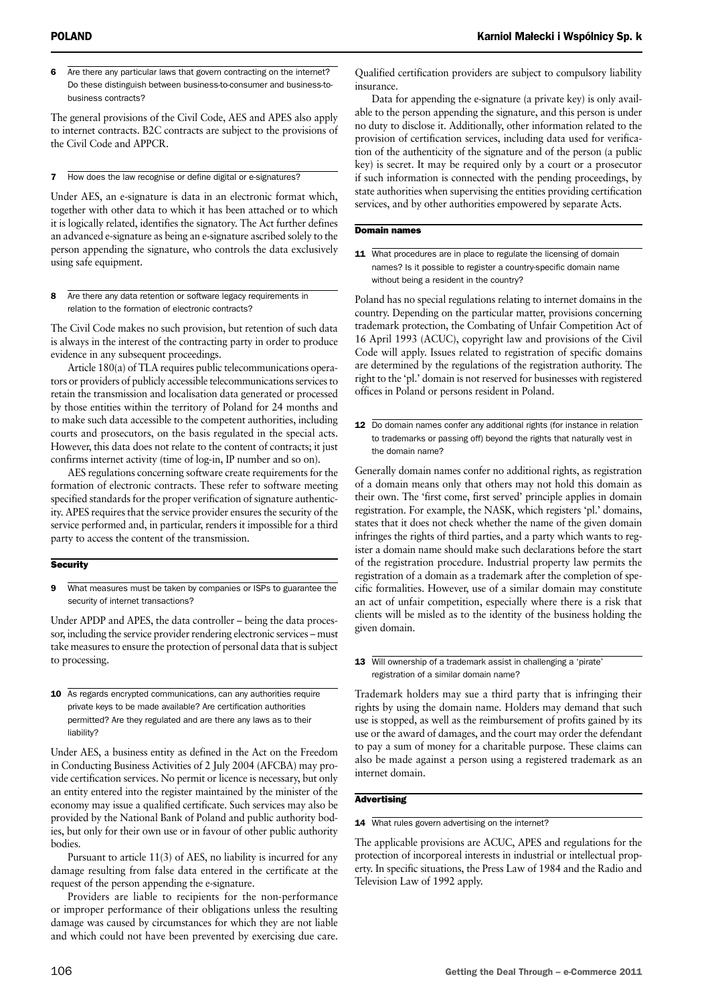6 Are there any particular laws that govern contracting on the internet? Do these distinguish between business-to-consumer and business-tobusiness contracts?

The general provisions of the Civil Code, AES and APES also apply to internet contracts. B2C contracts are subject to the provisions of the Civil Code and APPCR.

7 How does the law recognise or define digital or e-signatures?

Under AES, an e-signature is data in an electronic format which, together with other data to which it has been attached or to which it is logically related, identifies the signatory. The Act further defines an advanced e-signature as being an e-signature ascribed solely to the person appending the signature, who controls the data exclusively using safe equipment.

8 Are there any data retention or software legacy requirements in relation to the formation of electronic contracts?

The Civil Code makes no such provision, but retention of such data is always in the interest of the contracting party in order to produce evidence in any subsequent proceedings.

Article 180(a) of TLA requires public telecommunications operators or providers of publicly accessible telecommunications services to retain the transmission and localisation data generated or processed by those entities within the territory of Poland for 24 months and to make such data accessible to the competent authorities, including courts and prosecutors, on the basis regulated in the special acts. However, this data does not relate to the content of contracts; it just confirms internet activity (time of log-in, IP number and so on).

AES regulations concerning software create requirements for the formation of electronic contracts. These refer to software meeting specified standards for the proper verification of signature authenticity. APES requires that the service provider ensures the security of the service performed and, in particular, renders it impossible for a third party to access the content of the transmission.

#### **Security**

9 What measures must be taken by companies or ISPs to guarantee the security of internet transactions?

Under APDP and APES, the data controller – being the data processor, including the service provider rendering electronic services – must take measures to ensure the protection of personal data that is subject to processing.

10 As regards encrypted communications, can any authorities require private keys to be made available? Are certification authorities permitted? Are they regulated and are there any laws as to their liability?

Under AES, a business entity as defined in the Act on the Freedom in Conducting Business Activities of 2 July 2004 (AFCBA) may provide certification services. No permit or licence is necessary, but only an entity entered into the register maintained by the minister of the economy may issue a qualified certificate. Such services may also be provided by the National Bank of Poland and public authority bodies, but only for their own use or in favour of other public authority bodies.

Pursuant to article 11(3) of AES, no liability is incurred for any damage resulting from false data entered in the certificate at the request of the person appending the e-signature.

Providers are liable to recipients for the non-performance or improper performance of their obligations unless the resulting damage was caused by circumstances for which they are not liable and which could not have been prevented by exercising due care. Qualified certification providers are subject to compulsory liability insurance.

Data for appending the e-signature (a private key) is only available to the person appending the signature, and this person is under no duty to disclose it. Additionally, other information related to the provision of certification services, including data used for verification of the authenticity of the signature and of the person (a public key) is secret. It may be required only by a court or a prosecutor if such information is connected with the pending proceedings, by state authorities when supervising the entities providing certification services, and by other authorities empowered by separate Acts.

#### Domain names

11 What procedures are in place to regulate the licensing of domain names? Is it possible to register a country-specific domain name without being a resident in the country?

Poland has no special regulations relating to internet domains in the country. Depending on the particular matter, provisions concerning trademark protection, the Combating of Unfair Competition Act of 16 April 1993 (ACUC), copyright law and provisions of the Civil Code will apply. Issues related to registration of specific domains are determined by the regulations of the registration authority. The right to the 'pl.' domain is not reserved for businesses with registered offices in Poland or persons resident in Poland.

12 Do domain names confer any additional rights (for instance in relation to trademarks or passing off) beyond the rights that naturally vest in the domain name?

Generally domain names confer no additional rights, as registration of a domain means only that others may not hold this domain as their own. The 'first come, first served' principle applies in domain registration. For example, the NASK, which registers 'pl.' domains, states that it does not check whether the name of the given domain infringes the rights of third parties, and a party which wants to register a domain name should make such declarations before the start of the registration procedure. Industrial property law permits the registration of a domain as a trademark after the completion of specific formalities. However, use of a similar domain may constitute an act of unfair competition, especially where there is a risk that clients will be misled as to the identity of the business holding the given domain.

Trademark holders may sue a third party that is infringing their rights by using the domain name. Holders may demand that such use is stopped, as well as the reimbursement of profits gained by its use or the award of damages, and the court may order the defendant to pay a sum of money for a charitable purpose. These claims can also be made against a person using a registered trademark as an internet domain.

#### **Advertising**

#### 14 What rules govern advertising on the internet?

The applicable provisions are ACUC, APES and regulations for the protection of incorporeal interests in industrial or intellectual property. In specific situations, the Press Law of 1984 and the Radio and Television Law of 1992 apply.

<sup>13</sup> Will ownership of a trademark assist in challenging a 'pirate' registration of a similar domain name?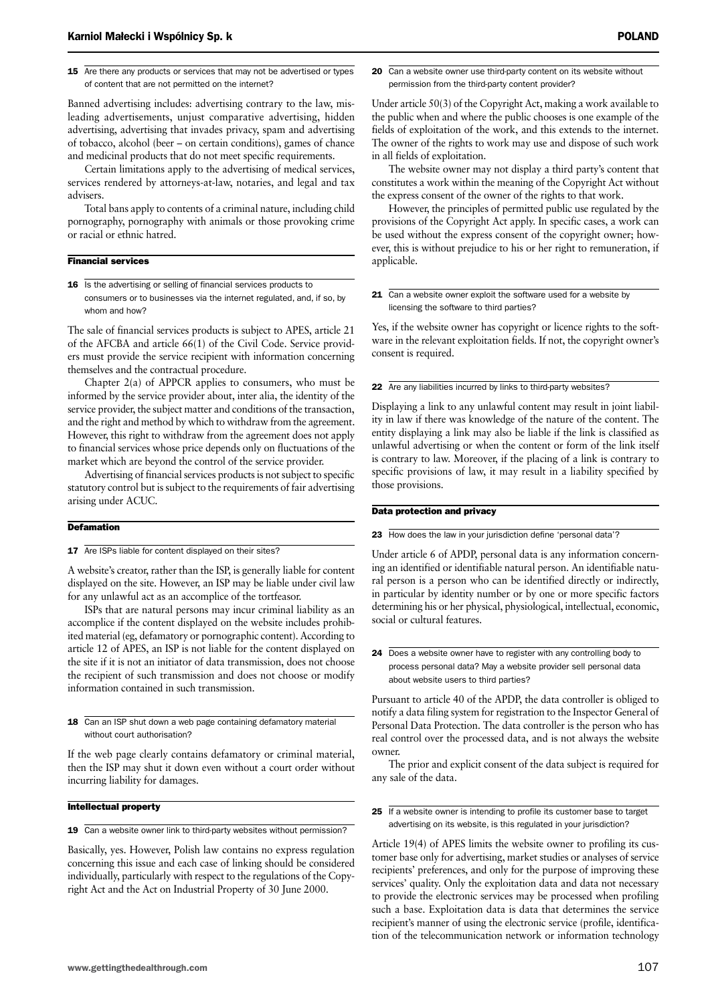Banned advertising includes: advertising contrary to the law, misleading advertisements, unjust comparative advertising, hidden advertising, advertising that invades privacy, spam and advertising of tobacco, alcohol (beer – on certain conditions), games of chance and medicinal products that do not meet specific requirements.

Certain limitations apply to the advertising of medical services, services rendered by attorneys-at-law, notaries, and legal and tax advisers.

Total bans apply to contents of a criminal nature, including child pornography, pornography with animals or those provoking crime or racial or ethnic hatred.

#### Financial services

16 Is the advertising or selling of financial services products to consumers or to businesses via the internet regulated, and, if so, by whom and how?

The sale of financial services products is subject to APES, article 21 of the AFCBA and article 66(1) of the Civil Code. Service providers must provide the service recipient with information concerning themselves and the contractual procedure.

Chapter 2(a) of APPCR applies to consumers, who must be informed by the service provider about, inter alia, the identity of the service provider, the subject matter and conditions of the transaction, and the right and method by which to withdraw from the agreement. However, this right to withdraw from the agreement does not apply to financial services whose price depends only on fluctuations of the market which are beyond the control of the service provider.

Advertising of financial services products is not subject to specific statutory control but is subject to the requirements of fair advertising arising under ACUC.

#### **Defamation**

17 Are ISPs liable for content displayed on their sites?

A website's creator, rather than the ISP, is generally liable for content displayed on the site. However, an ISP may be liable under civil law for any unlawful act as an accomplice of the tortfeasor.

ISPs that are natural persons may incur criminal liability as an accomplice if the content displayed on the website includes prohibited material (eg, defamatory or pornographic content). According to article 12 of APES, an ISP is not liable for the content displayed on the site if it is not an initiator of data transmission, does not choose the recipient of such transmission and does not choose or modify information contained in such transmission.

18 Can an ISP shut down a web page containing defamatory material without court authorisation?

If the web page clearly contains defamatory or criminal material, then the ISP may shut it down even without a court order without incurring liability for damages.

#### Intellectual property

19 Can a website owner link to third-party websites without permission?

Basically, yes. However, Polish law contains no express regulation concerning this issue and each case of linking should be considered individually, particularly with respect to the regulations of the Copyright Act and the Act on Industrial Property of 30 June 2000.

20 Can a website owner use third-party content on its website without permission from the third-party content provider?

Under article 50(3) of the Copyright Act, making a work available to the public when and where the public chooses is one example of the fields of exploitation of the work, and this extends to the internet. The owner of the rights to work may use and dispose of such work in all fields of exploitation.

The website owner may not display a third party's content that constitutes a work within the meaning of the Copyright Act without the express consent of the owner of the rights to that work.

However, the principles of permitted public use regulated by the provisions of the Copyright Act apply. In specific cases, a work can be used without the express consent of the copyright owner; however, this is without prejudice to his or her right to remuneration, if applicable.

21 Can a website owner exploit the software used for a website by licensing the software to third parties?

Yes, if the website owner has copyright or licence rights to the software in the relevant exploitation fields. If not, the copyright owner's consent is required.

22 Are any liabilities incurred by links to third-party websites?

Displaying a link to any unlawful content may result in joint liability in law if there was knowledge of the nature of the content. The entity displaying a link may also be liable if the link is classified as unlawful advertising or when the content or form of the link itself is contrary to law. Moreover, if the placing of a link is contrary to specific provisions of law, it may result in a liability specified by those provisions.

#### Data protection and privacy

23 How does the law in your jurisdiction define 'personal data'?

Under article 6 of APDP, personal data is any information concerning an identified or identifiable natural person. An identifiable natural person is a person who can be identified directly or indirectly, in particular by identity number or by one or more specific factors determining his or her physical, physiological, intellectual, economic, social or cultural features.

24 Does a website owner have to register with any controlling body to process personal data? May a website provider sell personal data about website users to third parties?

Pursuant to article 40 of the APDP, the data controller is obliged to notify a data filing system for registration to the Inspector General of Personal Data Protection. The data controller is the person who has real control over the processed data, and is not always the website owner.

The prior and explicit consent of the data subject is required for any sale of the data.

25 If a website owner is intending to profile its customer base to target advertising on its website, is this regulated in your jurisdiction?

Article 19(4) of APES limits the website owner to profiling its customer base only for advertising, market studies or analyses of service recipients' preferences, and only for the purpose of improving these services' quality. Only the exploitation data and data not necessary to provide the electronic services may be processed when profiling such a base. Exploitation data is data that determines the service recipient's manner of using the electronic service (profile, identification of the telecommunication network or information technology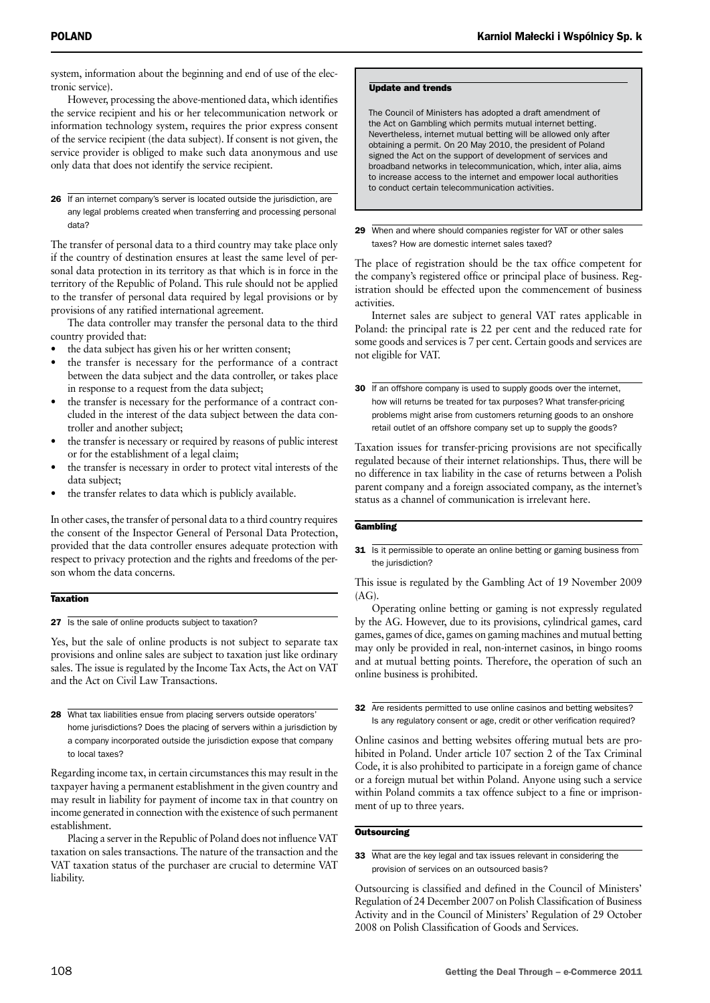system, information about the beginning and end of use of the electronic service).

However, processing the above-mentioned data, which identifies the service recipient and his or her telecommunication network or information technology system, requires the prior express consent of the service recipient (the data subject). If consent is not given, the service provider is obliged to make such data anonymous and use only data that does not identify the service recipient.

26 If an internet company's server is located outside the jurisdiction, are any legal problems created when transferring and processing personal data?

The transfer of personal data to a third country may take place only if the country of destination ensures at least the same level of personal data protection in its territory as that which is in force in the territory of the Republic of Poland. This rule should not be applied to the transfer of personal data required by legal provisions or by provisions of any ratified international agreement.

The data controller may transfer the personal data to the third country provided that:

- the data subject has given his or her written consent;
- the transfer is necessary for the performance of a contract between the data subject and the data controller, or takes place in response to a request from the data subject;
- the transfer is necessary for the performance of a contract concluded in the interest of the data subject between the data controller and another subject;
- the transfer is necessary or required by reasons of public interest or for the establishment of a legal claim;
- the transfer is necessary in order to protect vital interests of the data subject;
- the transfer relates to data which is publicly available.

In other cases, the transfer of personal data to a third country requires the consent of the Inspector General of Personal Data Protection, provided that the data controller ensures adequate protection with respect to privacy protection and the rights and freedoms of the person whom the data concerns.

#### **Taxation**

27 Is the sale of online products subject to taxation?

Yes, but the sale of online products is not subject to separate tax provisions and online sales are subject to taxation just like ordinary sales. The issue is regulated by the Income Tax Acts, the Act on VAT and the Act on Civil Law Transactions.

28 What tax liabilities ensue from placing servers outside operators' home jurisdictions? Does the placing of servers within a jurisdiction by a company incorporated outside the jurisdiction expose that company to local taxes?

Regarding income tax, in certain circumstances this may result in the taxpayer having a permanent establishment in the given country and may result in liability for payment of income tax in that country on income generated in connection with the existence of such permanent establishment.

Placing a server in the Republic of Poland does not influence VAT taxation on sales transactions. The nature of the transaction and the VAT taxation status of the purchaser are crucial to determine VAT liability.

#### Update and trends

The Council of Ministers has adopted a draft amendment of the Act on Gambling which permits mutual internet betting. Nevertheless, internet mutual betting will be allowed only after obtaining a permit. On 20 May 2010, the president of Poland signed the Act on the support of development of services and broadband networks in telecommunication, which, inter alia, aims to increase access to the internet and empower local authorities to conduct certain telecommunication activities.

29 When and where should companies register for VAT or other sales taxes? How are domestic internet sales taxed?

The place of registration should be the tax office competent for the company's registered office or principal place of business. Registration should be effected upon the commencement of business activities.

Internet sales are subject to general VAT rates applicable in Poland: the principal rate is 22 per cent and the reduced rate for some goods and services is 7 per cent. Certain goods and services are not eligible for VAT.

30 If an offshore company is used to supply goods over the internet, how will returns be treated for tax purposes? What transfer-pricing problems might arise from customers returning goods to an onshore retail outlet of an offshore company set up to supply the goods?

Taxation issues for transfer-pricing provisions are not specifically regulated because of their internet relationships. Thus, there will be no difference in tax liability in the case of returns between a Polish parent company and a foreign associated company, as the internet's status as a channel of communication is irrelevant here.

#### **Gambling**

31 Is it permissible to operate an online betting or gaming business from the jurisdiction?

This issue is regulated by the Gambling Act of 19 November 2009  $(AG)$ .

Operating online betting or gaming is not expressly regulated by the AG. However, due to its provisions, cylindrical games, card games, games of dice, games on gaming machines and mutual betting may only be provided in real, non-internet casinos, in bingo rooms and at mutual betting points. Therefore, the operation of such an online business is prohibited.

32 Are residents permitted to use online casinos and betting websites? Is any regulatory consent or age, credit or other verification required?

Online casinos and betting websites offering mutual bets are prohibited in Poland. Under article 107 section 2 of the Tax Criminal Code, it is also prohibited to participate in a foreign game of chance or a foreign mutual bet within Poland. Anyone using such a service within Poland commits a tax offence subject to a fine or imprisonment of up to three years.

#### **Outsourcing**

33 What are the key legal and tax issues relevant in considering the provision of services on an outsourced basis?

Outsourcing is classified and defined in the Council of Ministers' Regulation of 24 December 2007 on Polish Classification of Business Activity and in the Council of Ministers' Regulation of 29 October 2008 on Polish Classification of Goods and Services.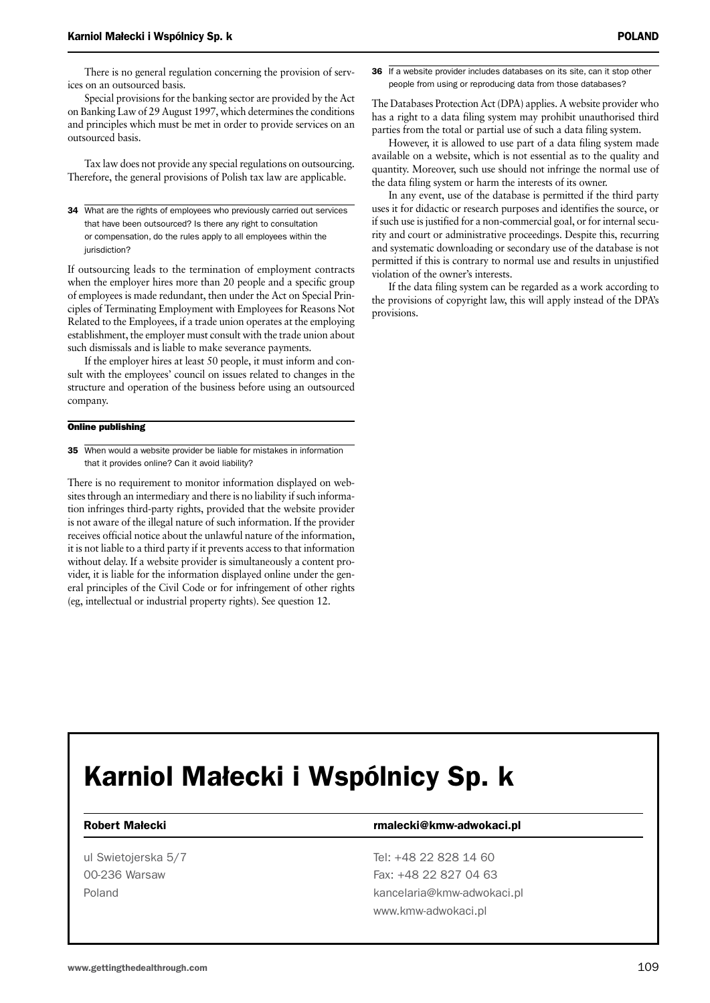There is no general regulation concerning the provision of services on an outsourced basis.

Special provisions for the banking sector are provided by the Act on Banking Law of 29 August 1997, which determines the conditions and principles which must be met in order to provide services on an outsourced basis.

Tax law does not provide any special regulations on outsourcing. Therefore, the general provisions of Polish tax law are applicable.

34 What are the rights of employees who previously carried out services that have been outsourced? Is there any right to consultation or compensation, do the rules apply to all employees within the jurisdiction?

If outsourcing leads to the termination of employment contracts when the employer hires more than 20 people and a specific group of employees is made redundant, then under the Act on Special Principles of Terminating Employment with Employees for Reasons Not Related to the Employees, if a trade union operates at the employing establishment, the employer must consult with the trade union about such dismissals and is liable to make severance payments.

If the employer hires at least 50 people, it must inform and consult with the employees' council on issues related to changes in the structure and operation of the business before using an outsourced company.

#### Online publishing

35 When would a website provider be liable for mistakes in information that it provides online? Can it avoid liability?

There is no requirement to monitor information displayed on websites through an intermediary and there is no liability if such information infringes third-party rights, provided that the website provider is not aware of the illegal nature of such information. If the provider receives official notice about the unlawful nature of the information, it is not liable to a third party if it prevents access to that information without delay. If a website provider is simultaneously a content provider, it is liable for the information displayed online under the general principles of the Civil Code or for infringement of other rights (eg, intellectual or industrial property rights). See question 12.

36 If a website provider includes databases on its site, can it stop other people from using or reproducing data from those databases?

The Databases Protection Act (DPA) applies. A website provider who has a right to a data filing system may prohibit unauthorised third parties from the total or partial use of such a data filing system.

However, it is allowed to use part of a data filing system made available on a website, which is not essential as to the quality and quantity. Moreover, such use should not infringe the normal use of the data filing system or harm the interests of its owner.

In any event, use of the database is permitted if the third party uses it for didactic or research purposes and identifies the source, or if such use is justified for a non-commercial goal, or for internal security and court or administrative proceedings. Despite this, recurring and systematic downloading or secondary use of the database is not permitted if this is contrary to normal use and results in unjustified violation of the owner's interests.

If the data filing system can be regarded as a work according to the provisions of copyright law, this will apply instead of the DPA's provisions.

## Karniol Małecki i Wspólnicy Sp. k

#### Robert Małecki **rmalecki** rmalecki@kmw-adwokaci.pl

ul Swietojerska 5/7 Tel: +48 22 828 14 60 00-236 Warsaw Fax: +48 22 827 04 63 Poland kancelaria@kmw-adwokaci.pl www.kmw-adwokaci.pl